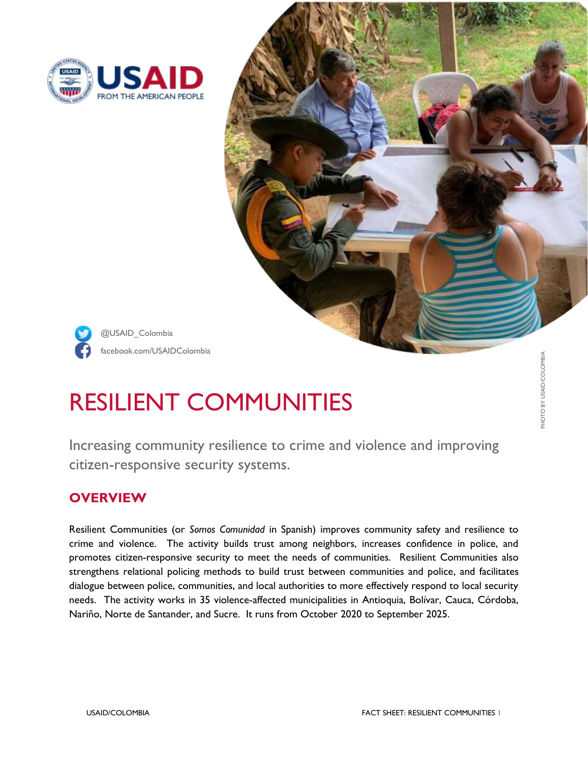



# RESILIENT COMMUNITIES

Increasing community resilience to crime and violence and improving citizen-responsive security systems.

## **OVERVIEW**

Resilient Communities (or *Somos Comunidad* in Spanish) improves community safety and resilience to crime and violence. The activity builds trust among neighbors, increases confidence in police, and promotes citizen-responsive security to meet the needs of communities. Resilient Communities also strengthens relational policing methods to build trust between communities and police, and facilitates dialogue between police, communities, and local authorities to more effectively respond to local security needs. The activity works in 35 violence-affected municipalities in Antioquia, Bolívar, Cauca, Córdoba, Nariño, Norte de Santander, and Sucre. It runs from October 2020 to September 2025.